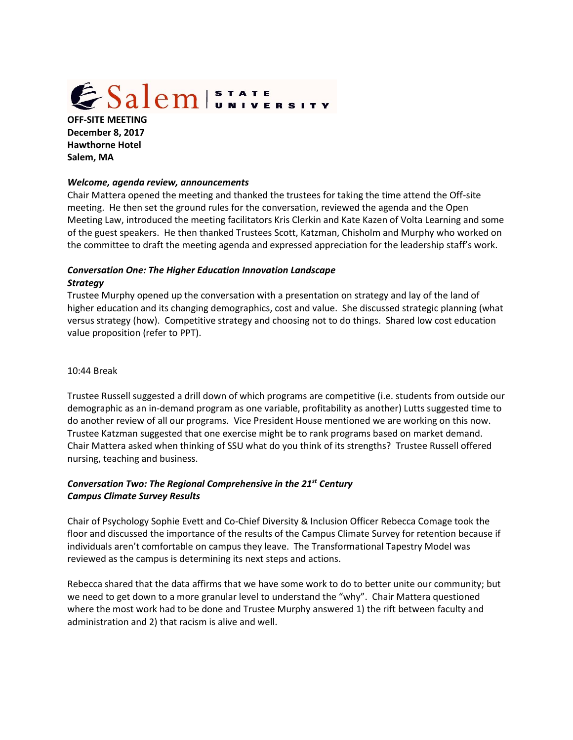# ESalem STATE

**OFF-SITE MEETING December 8, 2017 Hawthorne Hotel Salem, MA**

### *Welcome, agenda review, announcements*

Chair Mattera opened the meeting and thanked the trustees for taking the time attend the Off-site meeting. He then set the ground rules for the conversation, reviewed the agenda and the Open Meeting Law, introduced the meeting facilitators Kris Clerkin and Kate Kazen of Volta Learning and some of the guest speakers. He then thanked Trustees Scott, Katzman, Chisholm and Murphy who worked on the committee to draft the meeting agenda and expressed appreciation for the leadership staff's work.

# *Conversation One: The Higher Education Innovation Landscape Strategy*

Trustee Murphy opened up the conversation with a presentation on strategy and lay of the land of higher education and its changing demographics, cost and value. She discussed strategic planning (what versus strategy (how). Competitive strategy and choosing not to do things. Shared low cost education value proposition (refer to PPT).

## 10:44 Break

Trustee Russell suggested a drill down of which programs are competitive (i.e. students from outside our demographic as an in-demand program as one variable, profitability as another) Lutts suggested time to do another review of all our programs. Vice President House mentioned we are working on this now. Trustee Katzman suggested that one exercise might be to rank programs based on market demand. Chair Mattera asked when thinking of SSU what do you think of its strengths? Trustee Russell offered nursing, teaching and business.

# *Conversation Two: The Regional Comprehensive in the 21st Century Campus Climate Survey Results*

Chair of Psychology Sophie Evett and Co-Chief Diversity & Inclusion Officer Rebecca Comage took the floor and discussed the importance of the results of the Campus Climate Survey for retention because if individuals aren't comfortable on campus they leave. The Transformational Tapestry Model was reviewed as the campus is determining its next steps and actions.

Rebecca shared that the data affirms that we have some work to do to better unite our community; but we need to get down to a more granular level to understand the "why". Chair Mattera questioned where the most work had to be done and Trustee Murphy answered 1) the rift between faculty and administration and 2) that racism is alive and well.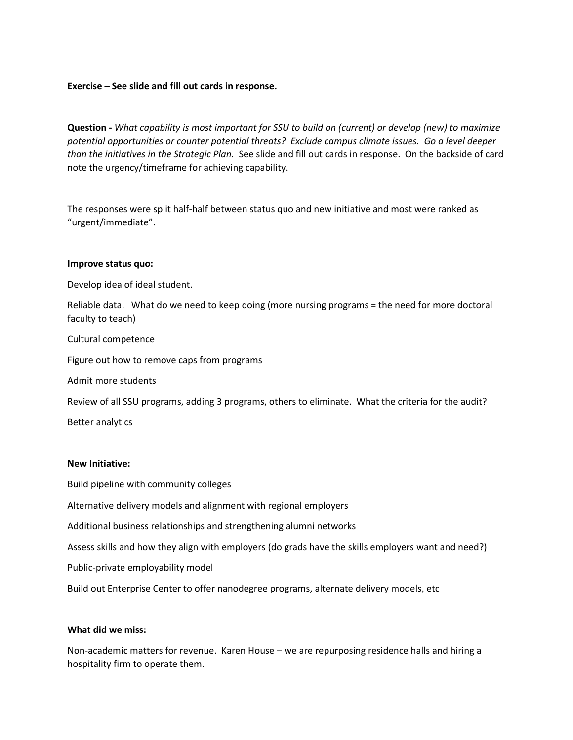## **Exercise – See slide and fill out cards in response.**

**Question -** *What capability is most important for SSU to build on (current) or develop (new) to maximize potential opportunities or counter potential threats? Exclude campus climate issues. Go a level deeper than the initiatives in the Strategic Plan.* See slide and fill out cards in response. On the backside of card note the urgency/timeframe for achieving capability.

The responses were split half-half between status quo and new initiative and most were ranked as "urgent/immediate".

#### **Improve status quo:**

Develop idea of ideal student.

Reliable data. What do we need to keep doing (more nursing programs = the need for more doctoral faculty to teach)

#### Cultural competence

Figure out how to remove caps from programs

Admit more students

Review of all SSU programs, adding 3 programs, others to eliminate. What the criteria for the audit?

Better analytics

#### **New Initiative:**

Build pipeline with community colleges

Alternative delivery models and alignment with regional employers

Additional business relationships and strengthening alumni networks

Assess skills and how they align with employers (do grads have the skills employers want and need?)

Public-private employability model

Build out Enterprise Center to offer nanodegree programs, alternate delivery models, etc

#### **What did we miss:**

Non-academic matters for revenue. Karen House – we are repurposing residence halls and hiring a hospitality firm to operate them.